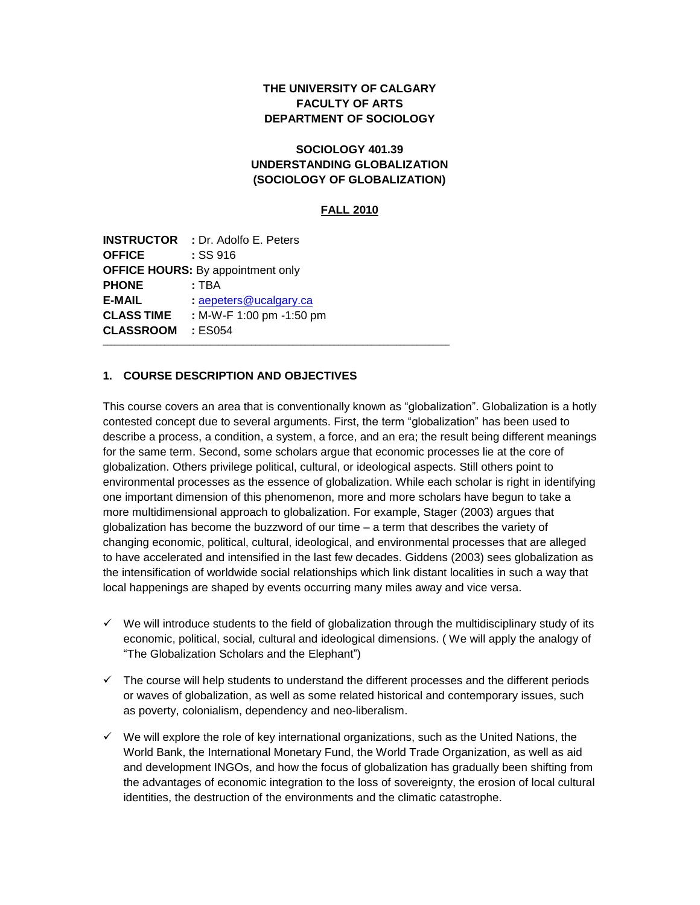# **THE UNIVERSITY OF CALGARY FACULTY OF ARTS DEPARTMENT OF SOCIOLOGY**

## **SOCIOLOGY 401.39 UNDERSTANDING GLOBALIZATION (SOCIOLOGY OF GLOBALIZATION)**

#### **FALL 2010**

**INSTRUCTOR :** Dr. Adolfo E. Peters **OFFICE :** SS 916 **OFFICE HOURS:** By appointment only **PHONE :** TBA **E-MAIL :** [aepeters@ucalgary.ca](mailto:aepeters@ucalgary.ca) **CLASS TIME :** M-W-F 1:00 pm -1:50 pm **CLASSROOM :** ES054 \_\_\_\_\_\_\_\_\_\_\_\_\_\_\_\_\_\_\_\_\_\_\_\_\_\_\_\_\_\_\_\_\_\_\_\_\_\_\_\_\_\_\_\_\_\_\_\_\_\_\_\_\_\_\_\_\_\_\_\_\_\_\_\_\_\_\_\_\_\_\_\_\_\_\_\_\_\_\_\_\_\_\_\_

#### **1. COURSE DESCRIPTION AND OBJECTIVES**

This course covers an area that is conventionally known as "globalization". Globalization is a hotly contested concept due to several arguments. First, the term "globalization" has been used to describe a process, a condition, a system, a force, and an era; the result being different meanings for the same term. Second, some scholars argue that economic processes lie at the core of globalization. Others privilege political, cultural, or ideological aspects. Still others point to environmental processes as the essence of globalization. While each scholar is right in identifying one important dimension of this phenomenon, more and more scholars have begun to take a more multidimensional approach to globalization. For example, Stager (2003) argues that globalization has become the buzzword of our time – a term that describes the variety of changing economic, political, cultural, ideological, and environmental processes that are alleged to have accelerated and intensified in the last few decades. Giddens (2003) sees globalization as the intensification of worldwide social relationships which link distant localities in such a way that local happenings are shaped by events occurring many miles away and vice versa.

- $\checkmark$  We will introduce students to the field of globalization through the multidisciplinary study of its economic, political, social, cultural and ideological dimensions. ( We will apply the analogy of "The Globalization Scholars and the Elephant")
- $\checkmark$  The course will help students to understand the different processes and the different periods or waves of globalization, as well as some related historical and contemporary issues, such as poverty, colonialism, dependency and neo-liberalism.
- $\checkmark$  We will explore the role of key international organizations, such as the United Nations, the World Bank, the International Monetary Fund, the World Trade Organization, as well as aid and development INGOs, and how the focus of globalization has gradually been shifting from the advantages of economic integration to the loss of sovereignty, the erosion of local cultural identities, the destruction of the environments and the climatic catastrophe.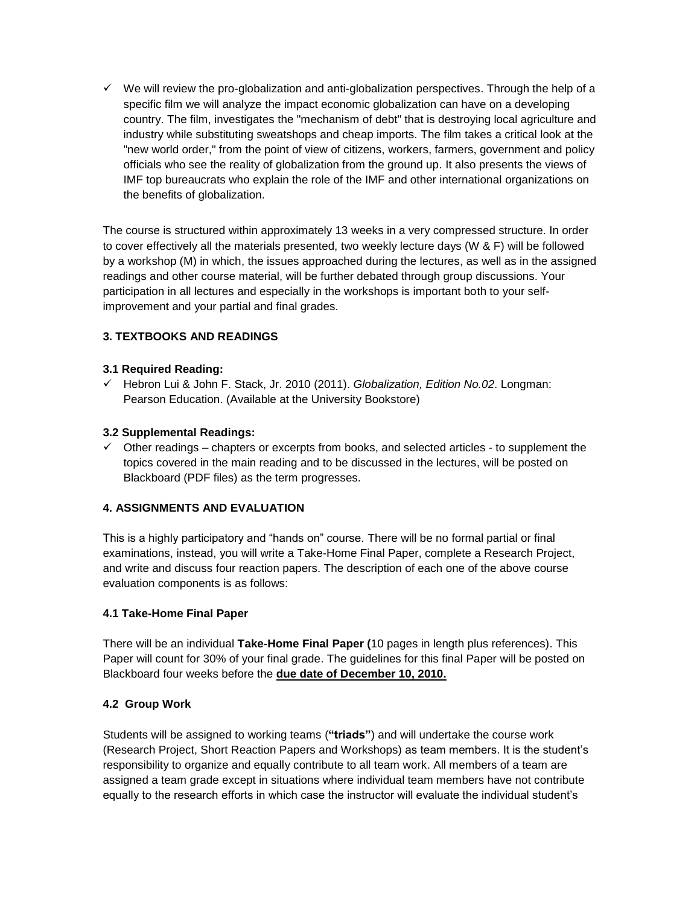$\checkmark$  We will review the pro-globalization and anti-globalization perspectives. Through the help of a specific film we will analyze the impact economic globalization can have on a developing country. The film, investigates the "mechanism of debt" that is destroying local agriculture and industry while substituting sweatshops and cheap imports. The film takes a critical look at the "new world order," from the point of view of citizens, workers, farmers, government and policy officials who see the reality of globalization from the ground up. It also presents the views of IMF top bureaucrats who explain the role of the IMF and other international organizations on the benefits of globalization.

The course is structured within approximately 13 weeks in a very compressed structure. In order to cover effectively all the materials presented, two weekly lecture days (W & F) will be followed by a workshop (M) in which, the issues approached during the lectures, as well as in the assigned readings and other course material, will be further debated through group discussions. Your participation in all lectures and especially in the workshops is important both to your selfimprovement and your partial and final grades.

# **3. TEXTBOOKS AND READINGS**

## **3.1 Required Reading:**

 Hebron Lui & John F. Stack, Jr. 2010 (2011). *Globalization, Edition No.02*. Longman: Pearson Education. (Available at the University Bookstore)

## **3.2 Supplemental Readings:**

 $\checkmark$  Other readings – chapters or excerpts from books, and selected articles - to supplement the topics covered in the main reading and to be discussed in the lectures, will be posted on Blackboard (PDF files) as the term progresses.

## **4. ASSIGNMENTS AND EVALUATION**

This is a highly participatory and "hands on" course. There will be no formal partial or final examinations, instead, you will write a Take-Home Final Paper, complete a Research Project, and write and discuss four reaction papers. The description of each one of the above course evaluation components is as follows:

## **4.1 Take-Home Final Paper**

There will be an individual **Take-Home Final Paper (**10 pages in length plus references). This Paper will count for 30% of your final grade. The guidelines for this final Paper will be posted on Blackboard four weeks before the **due date of December 10, 2010.**

## **4.2 Group Work**

Students will be assigned to working teams (**"triads"**) and will undertake the course work (Research Project, Short Reaction Papers and Workshops) as team members. It is the student's responsibility to organize and equally contribute to all team work. All members of a team are assigned a team grade except in situations where individual team members have not contribute equally to the research efforts in which case the instructor will evaluate the individual student's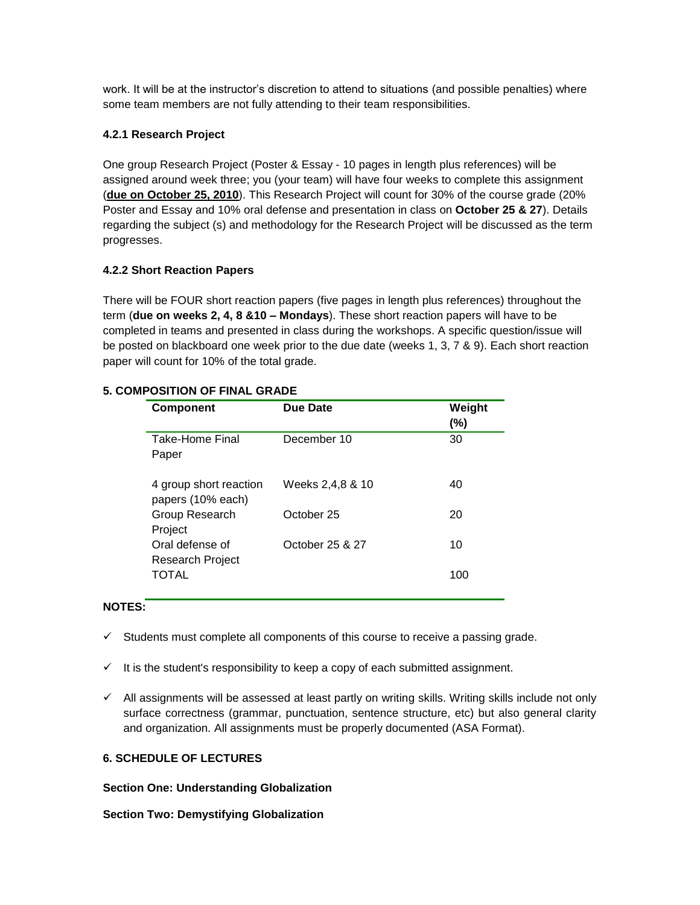work. It will be at the instructor's discretion to attend to situations (and possible penalties) where some team members are not fully attending to their team responsibilities.

## **4.2.1 Research Project**

One group Research Project (Poster & Essay - 10 pages in length plus references) will be assigned around week three; you (your team) will have four weeks to complete this assignment (**due on October 25, 2010**). This Research Project will count for 30% of the course grade (20% Poster and Essay and 10% oral defense and presentation in class on **October 25 & 27**). Details regarding the subject (s) and methodology for the Research Project will be discussed as the term progresses.

## **4.2.2 Short Reaction Papers**

There will be FOUR short reaction papers (five pages in length plus references) throughout the term (**due on weeks 2, 4, 8 &10 – Mondays**). These short reaction papers will have to be completed in teams and presented in class during the workshops. A specific question/issue will be posted on blackboard one week prior to the due date (weeks 1, 3, 7 & 9). Each short reaction paper will count for 10% of the total grade.

## **5. COMPOSITION OF FINAL GRADE**

| <b>Component</b>                            | Due Date         | Weight<br>(%) |
|---------------------------------------------|------------------|---------------|
| Take-Home Final<br>Paper                    | December 10      | 30            |
| 4 group short reaction<br>papers (10% each) | Weeks 2,4,8 & 10 | 40            |
| Group Research<br>Project                   | October 25       | 20            |
| Oral defense of<br>Research Project         | October 25 & 27  | 10            |
| TOTAL                                       |                  | 100           |

## **NOTES:**

- $\checkmark$  Students must complete all components of this course to receive a passing grade.
- $\checkmark$  It is the student's responsibility to keep a copy of each submitted assignment.
- $\checkmark$  All assignments will be assessed at least partly on writing skills. Writing skills include not only surface correctness (grammar, punctuation, sentence structure, etc) but also general clarity and organization. All assignments must be properly documented (ASA Format).

## **6. SCHEDULE OF LECTURES**

## **Section One: Understanding Globalization**

## **Section Two: Demystifying Globalization**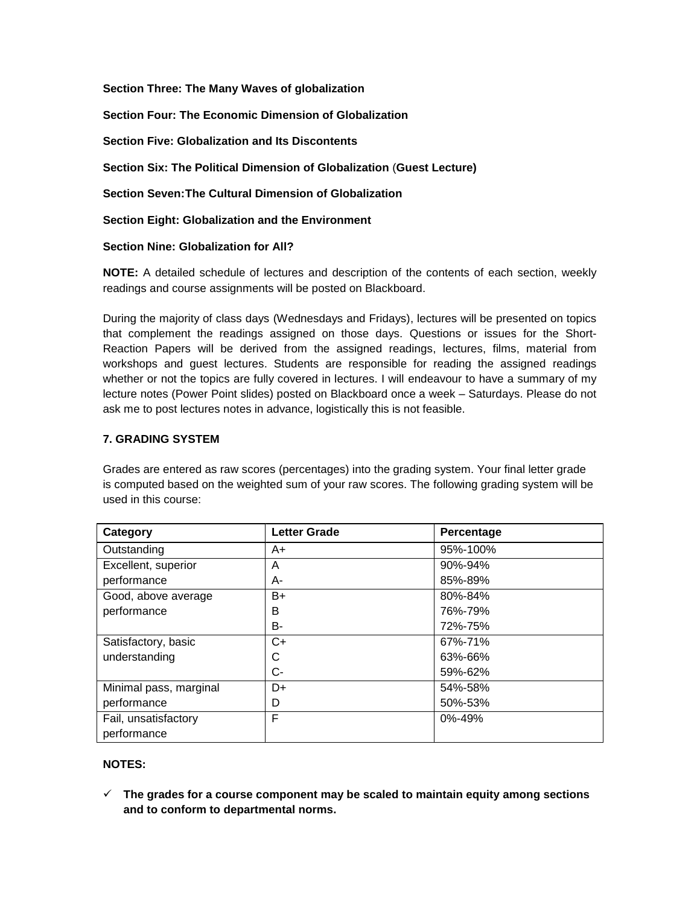**Section Three: The Many Waves of globalization**

**Section Four: The Economic Dimension of Globalization**

**Section Five: Globalization and Its Discontents**

**Section Six: The Political Dimension of Globalization** (**Guest Lecture)**

**Section Seven:The Cultural Dimension of Globalization**

**Section Eight: Globalization and the Environment**

**Section Nine: Globalization for All?**

**NOTE:** A detailed schedule of lectures and description of the contents of each section, weekly readings and course assignments will be posted on Blackboard.

During the majority of class days (Wednesdays and Fridays), lectures will be presented on topics that complement the readings assigned on those days. Questions or issues for the Short-Reaction Papers will be derived from the assigned readings, lectures, films, material from workshops and guest lectures. Students are responsible for reading the assigned readings whether or not the topics are fully covered in lectures. I will endeavour to have a summary of my lecture notes (Power Point slides) posted on Blackboard once a week – Saturdays. Please do not ask me to post lectures notes in advance, logistically this is not feasible.

#### **7. GRADING SYSTEM**

Grades are entered as raw scores (percentages) into the grading system. Your final letter grade is computed based on the weighted sum of your raw scores. The following grading system will be used in this course:

| Category               | <b>Letter Grade</b> | Percentage |
|------------------------|---------------------|------------|
| Outstanding            | $A+$                | 95%-100%   |
| Excellent, superior    | A                   | 90%-94%    |
| performance            | A-                  | 85%-89%    |
| Good, above average    | $B+$                | 80%-84%    |
| performance            | B                   | 76%-79%    |
|                        | <b>B-</b>           | 72%-75%    |
| Satisfactory, basic    | $C+$                | 67%-71%    |
| understanding          | С                   | 63%-66%    |
|                        | $C -$               | 59%-62%    |
| Minimal pass, marginal | D+                  | 54%-58%    |
| performance            | D                   | 50%-53%    |
| Fail, unsatisfactory   | F                   | 0%-49%     |
| performance            |                     |            |

## **NOTES:**

 **The grades for a course component may be scaled to maintain equity among sections and to conform to departmental norms.**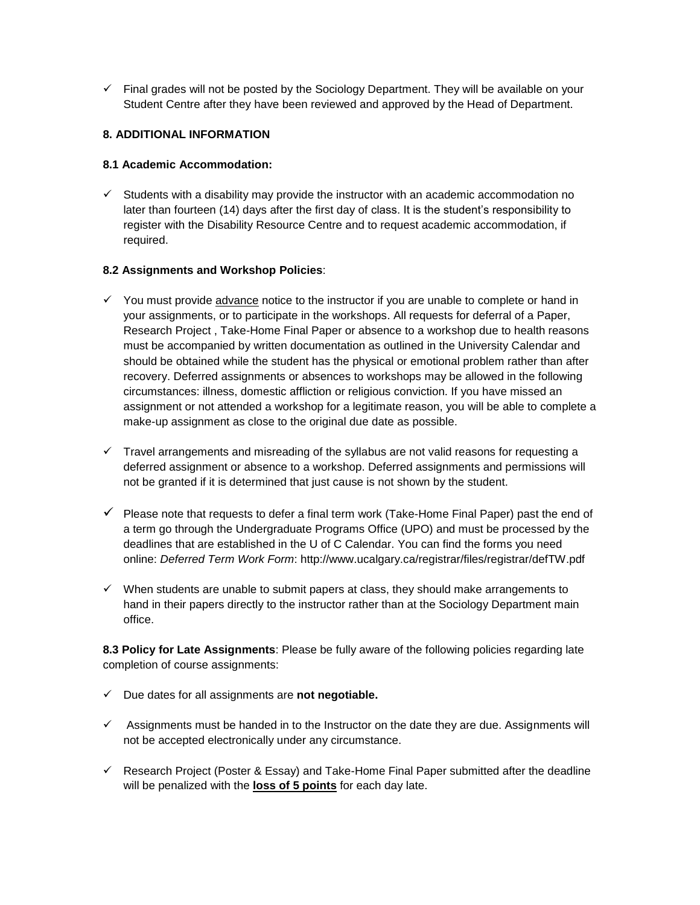$\checkmark$  Final grades will not be posted by the Sociology Department. They will be available on your Student Centre after they have been reviewed and approved by the Head of Department.

## **8. ADDITIONAL INFORMATION**

#### **8.1 Academic Accommodation:**

 $\checkmark$  Students with a disability may provide the instructor with an academic accommodation no later than fourteen (14) days after the first day of class. It is the student's responsibility to register with the Disability Resource Centre and to request academic accommodation, if required.

#### **8.2 Assignments and Workshop Policies**:

- $\checkmark$  You must provide advance notice to the instructor if you are unable to complete or hand in your assignments, or to participate in the workshops. All requests for deferral of a Paper, Research Project , Take-Home Final Paper or absence to a workshop due to health reasons must be accompanied by written documentation as outlined in the University Calendar and should be obtained while the student has the physical or emotional problem rather than after recovery. Deferred assignments or absences to workshops may be allowed in the following circumstances: illness, domestic affliction or religious conviction. If you have missed an assignment or not attended a workshop for a legitimate reason, you will be able to complete a make-up assignment as close to the original due date as possible.
- $\checkmark$  Travel arrangements and misreading of the syllabus are not valid reasons for requesting a deferred assignment or absence to a workshop. Deferred assignments and permissions will not be granted if it is determined that just cause is not shown by the student.
- $\checkmark$  Please note that requests to defer a final term work (Take-Home Final Paper) past the end of a term go through the Undergraduate Programs Office (UPO) and must be processed by the deadlines that are established in the U of C Calendar. You can find the forms you need online: *Deferred Term Work Form*: http://www.ucalgary.ca/registrar/files/registrar/defTW.pdf
- $\checkmark$  When students are unable to submit papers at class, they should make arrangements to hand in their papers directly to the instructor rather than at the Sociology Department main office.

**8.3 Policy for Late Assignments**: Please be fully aware of the following policies regarding late completion of course assignments:

- Due dates for all assignments are **not negotiable.**
- $\checkmark$  Assignments must be handed in to the Instructor on the date they are due. Assignments will not be accepted electronically under any circumstance.
- $\checkmark$  Research Project (Poster & Essay) and Take-Home Final Paper submitted after the deadline will be penalized with the **loss of 5 points** for each day late.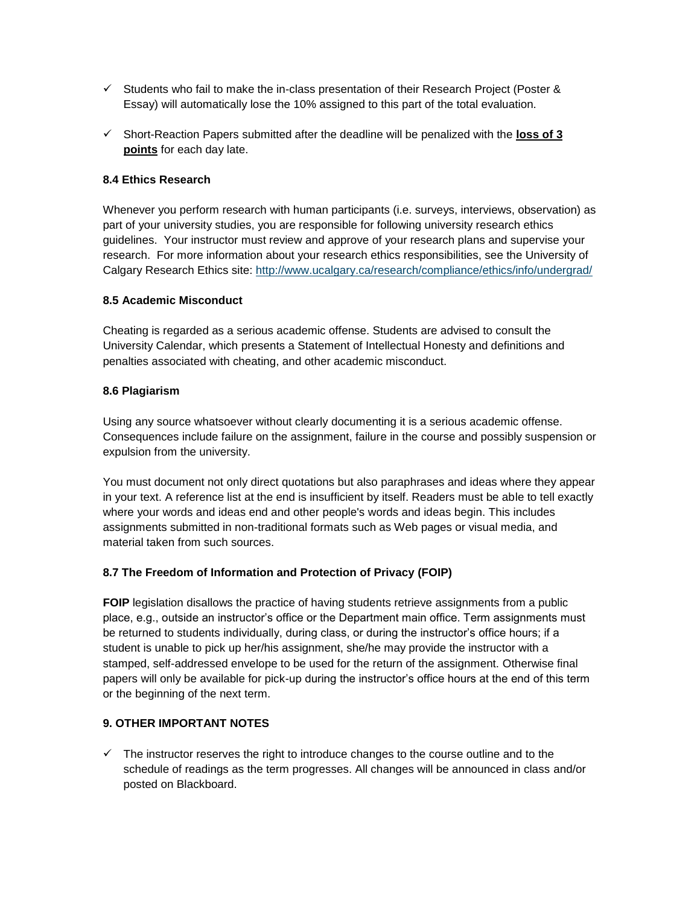- $\checkmark$  Students who fail to make the in-class presentation of their Research Project (Poster & Essay) will automatically lose the 10% assigned to this part of the total evaluation.
- Short-Reaction Papers submitted after the deadline will be penalized with the **loss of 3 points** for each day late.

## **8.4 Ethics Research**

Whenever you perform research with human participants (i.e. surveys, interviews, observation) as part of your university studies, you are responsible for following university research ethics guidelines. Your instructor must review and approve of your research plans and supervise your research. For more information about your research ethics responsibilities, see the University of Calgary Research Ethics site:<http://www.ucalgary.ca/research/compliance/ethics/info/undergrad/>

## **8.5 Academic Misconduct**

Cheating is regarded as a serious academic offense. Students are advised to consult the University Calendar, which presents a Statement of Intellectual Honesty and definitions and penalties associated with cheating, and other academic misconduct.

## **8.6 Plagiarism**

Using any source whatsoever without clearly documenting it is a serious academic offense. Consequences include failure on the assignment, failure in the course and possibly suspension or expulsion from the university.

You must document not only direct quotations but also paraphrases and ideas where they appear in your text. A reference list at the end is insufficient by itself. Readers must be able to tell exactly where your words and ideas end and other people's words and ideas begin. This includes assignments submitted in non-traditional formats such as Web pages or visual media, and material taken from such sources.

# **8.7 The Freedom of Information and Protection of Privacy (FOIP)**

**FOIP** legislation disallows the practice of having students retrieve assignments from a public place, e.g., outside an instructor's office or the Department main office. Term assignments must be returned to students individually, during class, or during the instructor's office hours; if a student is unable to pick up her/his assignment, she/he may provide the instructor with a stamped, self-addressed envelope to be used for the return of the assignment. Otherwise final papers will only be available for pick-up during the instructor's office hours at the end of this term or the beginning of the next term.

## **9. OTHER IMPORTANT NOTES**

 $\checkmark$  The instructor reserves the right to introduce changes to the course outline and to the schedule of readings as the term progresses. All changes will be announced in class and/or posted on Blackboard.